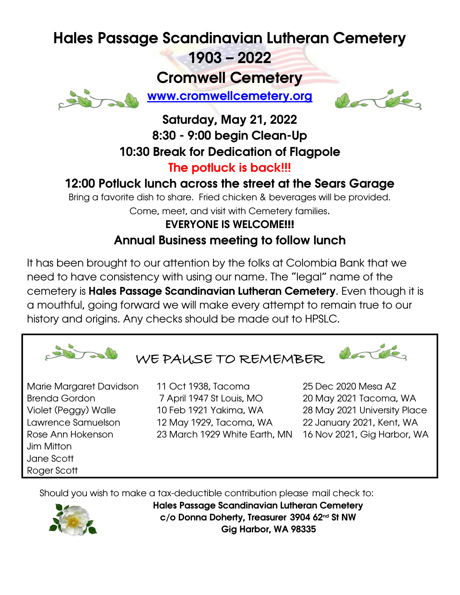# Hales Passage Scandinavian Lutheran Cemetery

1903 – 2022

Cromwell Cemetery



[www.cromwellcemetery.org](http://www.cromwellcemetery.org/)



#### Saturday, May 21, 2022 8:30 - 9:00 begin Clean-Up 10:30 Break for Dedication of Flagpole The potluck is back!!!

### 12:00 Potluck lunch across the street at the Sears Garage

Bring a favorite dish to share. Fried chicken & beverages will be provided. Come, meet, and visit with Cemetery families.

## EVERYONE IS WELCOME!!! Annual Business meeting to follow lunch

It has been brought to our attention by the folks at Colombia Bank that we need to have consistency with using our name. The "legal" name of the cemetery is Hales Passage Scandinavian Lutheran Cemetery. Even though it is a mouthful, going forward we will make every attempt to remain true to our history and origins. Any checks should be made out to HPSLC.



Jim Mitton Jane Scott Roger Scott

Brenda Gordon 7 April 1947 St Louis, MO 20 May 2021 Tacoma, WA Violet (Peggy) Walle 10 Feb 1921 Yakima, WA 28 May 2021 University Place Lawrence Samuelson 12 May 1929, Tacoma, WA 22 January 2021, Kent, WA Rose Ann Hokenson 23 March 1929 White Earth, MN 16 Nov 2021, Gig Harbor, WA

Should you wish to make a tax-deductible contribution please mail check to:



Hales Passage Scandinavian Lutheran Cemetery c/o Donna Doherty, Treasurer 3904 62<sup>nd</sup> St NW Gig Harbor, WA 98335